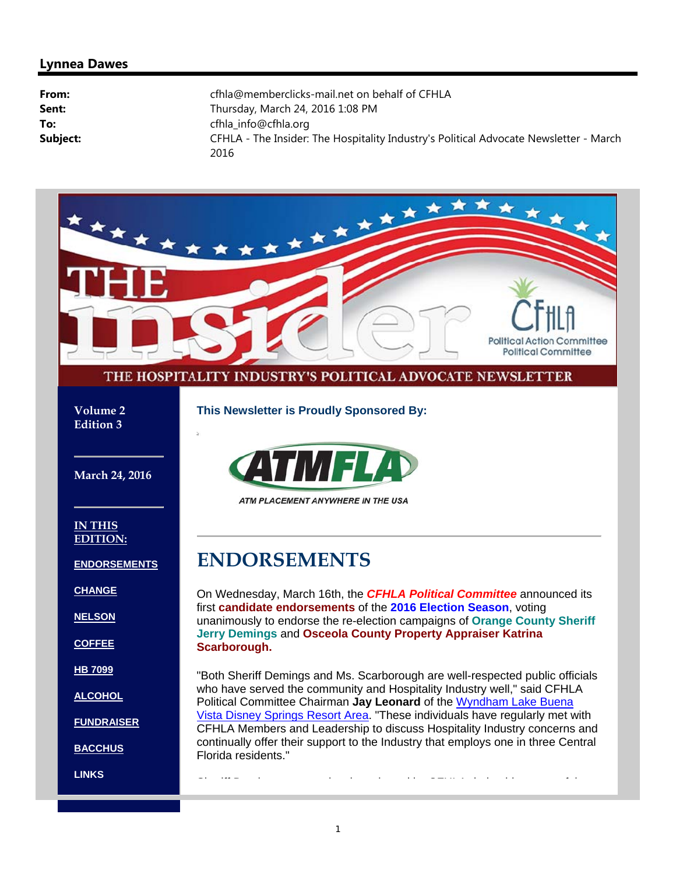#### **Lynnea Dawes**

| From:    | cfhla@memberclicks-mail.net on behalf of CFHLA                                                |
|----------|-----------------------------------------------------------------------------------------------|
| Sent:    | Thursday, March 24, 2016 1:08 PM                                                              |
| To:      | cfhla_info@cfhla.org                                                                          |
| Subject: | CFHLA - The Insider: The Hospitality Industry's Political Advocate Newsletter - March<br>2016 |

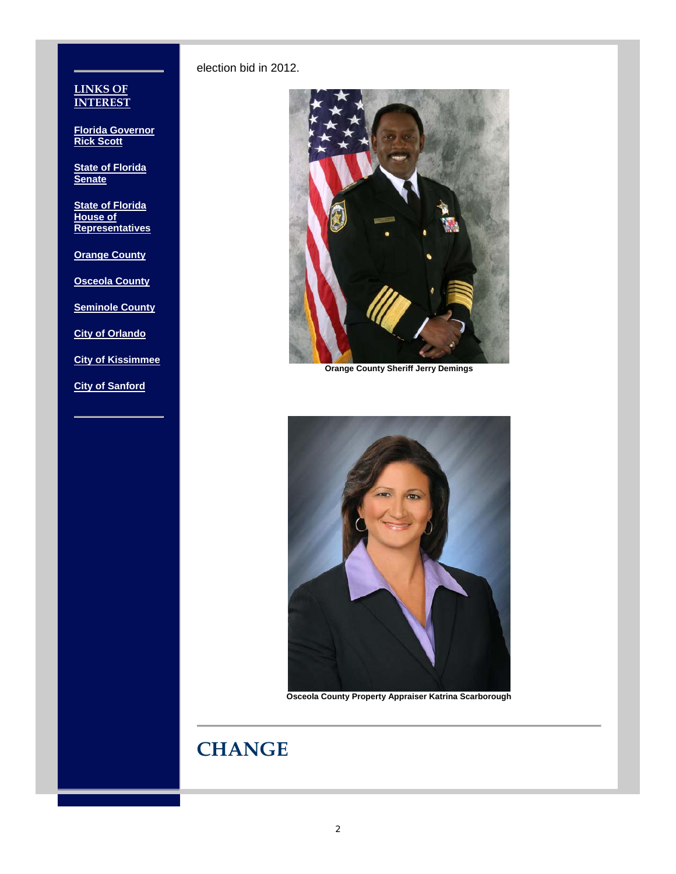election bid in 2012.



**Orange County Sheriff Jerry Demings**



**Osceola County Property Appraiser Katrina Scarborough**

# **CHANGE**

#### **LINKS OF INTEREST**

**Florida Governor Rick Scott**

**State of Florida Senate**

**State of Florida House of Representatives**

**Orange County**

**Osceola County**

**Seminole County**

**City of Orlando**

**City of Kissimmee**

**City of Sanford**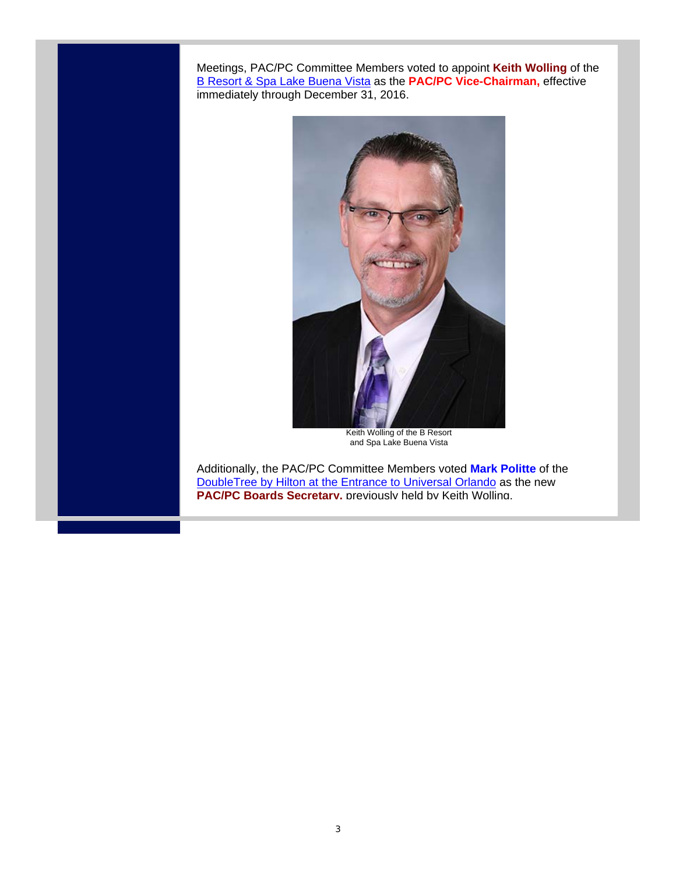Meetings, PAC/PC Committee Members voted to appoint **Keith Wolling** of the B Resort & Spa Lake Buena Vista as the **PAC/PC Vice-Chairman,** effective immediately through December 31, 2016.



Keith Wolling of the B Resort and Spa Lake Buena Vista

Additionally, the PAC/PC Committee Members voted **Mark Politte** of the DoubleTree by Hilton at the Entrance to Universal Orlando as the new **PAC/PC Boards Secretary.** previously held by Keith Wolling.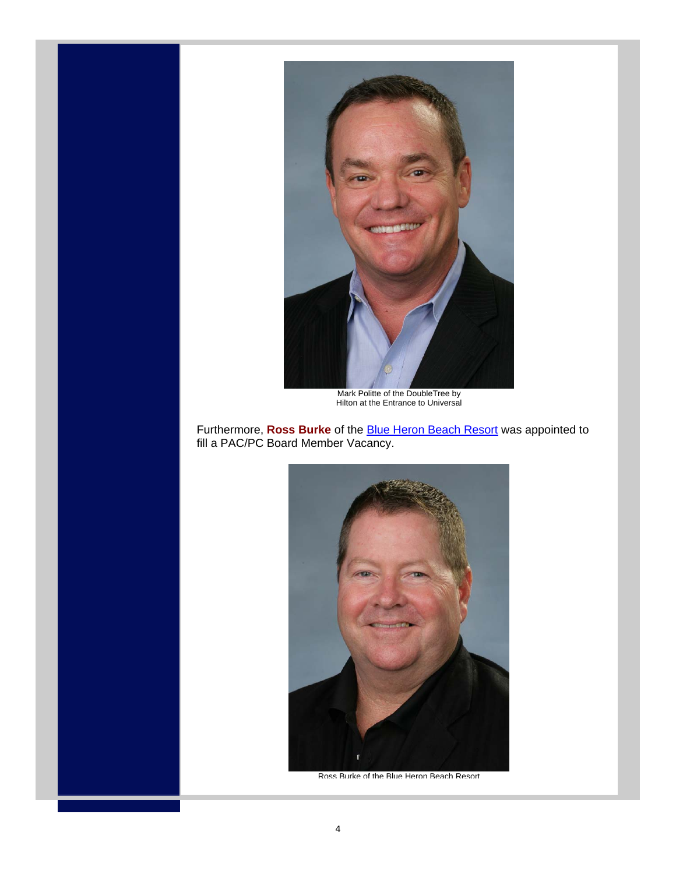

Mark Politte of the DoubleTree by Hilton at the Entrance to Universal

Furthermore, **Ross Burke** of the Blue Heron Beach Resort was appointed to fill a PAC/PC Board Member Vacancy.



Ross Burke of the Blue Heron Beach Resort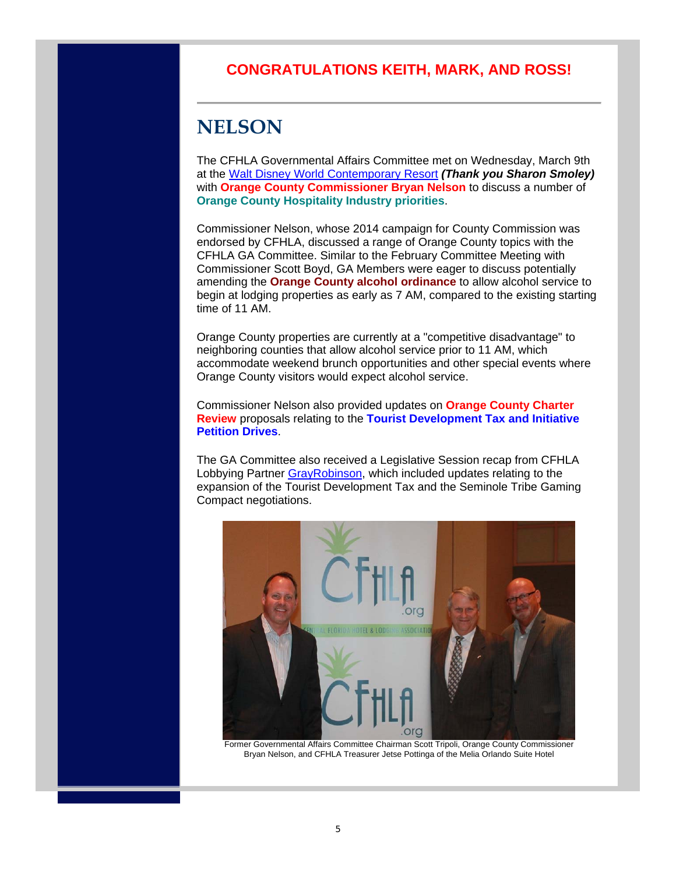#### **CONGRATULATIONS KEITH, MARK, AND ROSS!**

# **NELSON**

The CFHLA Governmental Affairs Committee met on Wednesday, March 9th at the Walt Disney World Contemporary Resort *(Thank you Sharon Smoley)* with **Orange County Commissioner Bryan Nelson** to discuss a number of **Orange County Hospitality Industry priorities**.

Commissioner Nelson, whose 2014 campaign for County Commission was endorsed by CFHLA, discussed a range of Orange County topics with the CFHLA GA Committee. Similar to the February Committee Meeting with Commissioner Scott Boyd, GA Members were eager to discuss potentially amending the **Orange County alcohol ordinance** to allow alcohol service to begin at lodging properties as early as 7 AM, compared to the existing starting time of 11 AM.

Orange County properties are currently at a "competitive disadvantage" to neighboring counties that allow alcohol service prior to 11 AM, which accommodate weekend brunch opportunities and other special events where Orange County visitors would expect alcohol service.

Commissioner Nelson also provided updates on **Orange County Charter Review** proposals relating to the **Tourist Development Tax and Initiative Petition Drives**.

The GA Committee also received a Legislative Session recap from CFHLA Lobbying Partner GrayRobinson, which included updates relating to the expansion of the Tourist Development Tax and the Seminole Tribe Gaming Compact negotiations.



Former Governmental Affairs Committee Chairman Scott Tripoli, Orange County Commissioner Bryan Nelson, and CFHLA Treasurer Jetse Pottinga of the Melia Orlando Suite Hotel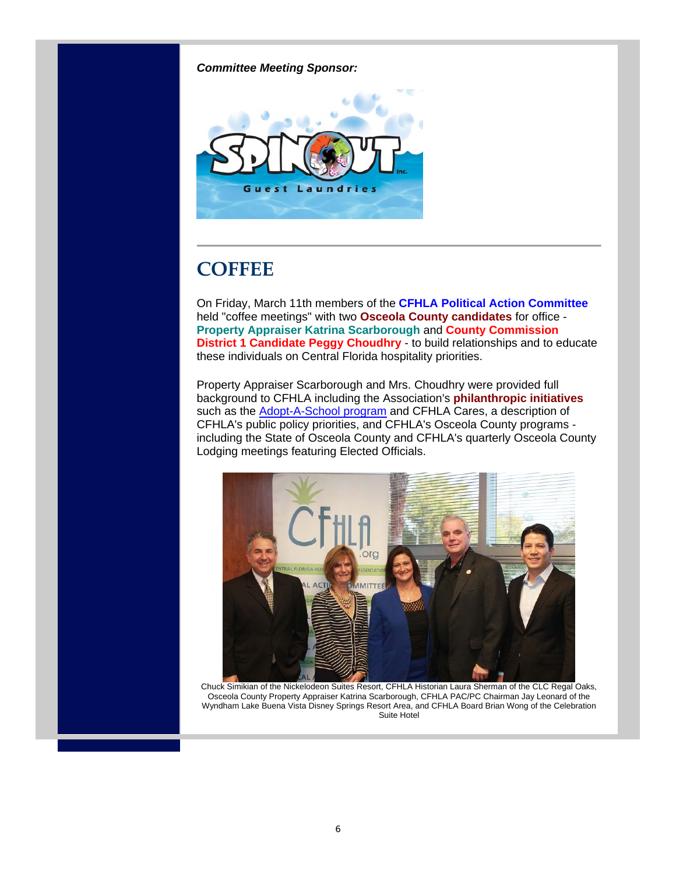*Committee Meeting Sponsor:*



# **COFFEE**

On Friday, March 11th members of the **CFHLA Political Action Committee** held "coffee meetings" with two **Osceola County candidates** for office - **Property Appraiser Katrina Scarborough** and **County Commission District 1 Candidate Peggy Choudhry** - to build relationships and to educate these individuals on Central Florida hospitality priorities.

Property Appraiser Scarborough and Mrs. Choudhry were provided full background to CFHLA including the Association's **philanthropic initiatives** such as the **Adopt-A-School program** and CFHLA Cares, a description of CFHLA's public policy priorities, and CFHLA's Osceola County programs including the State of Osceola County and CFHLA's quarterly Osceola County Lodging meetings featuring Elected Officials.



Chuck Simikian of the Nickelodeon Suites Resort, CFHLA Historian Laura Sherman of the CLC Regal Oaks, Osceola County Property Appraiser Katrina Scarborough, CFHLA PAC/PC Chairman Jay Leonard of the Wyndham Lake Buena Vista Disney Springs Resort Area, and CFHLA Board Brian Wong of the Celebration Suite Hotel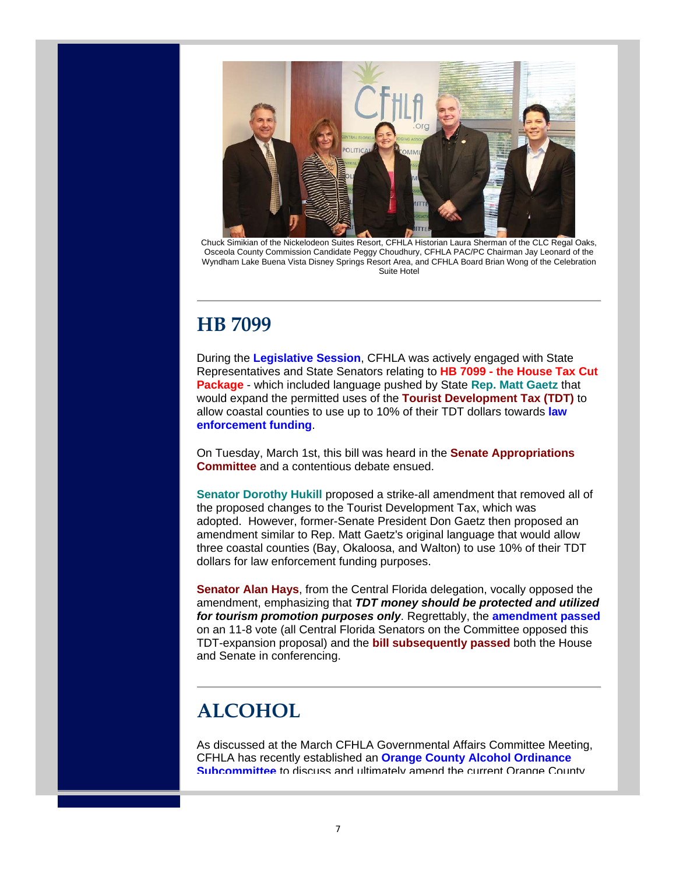

Chuck Simikian of the Nickelodeon Suites Resort, CFHLA Historian Laura Sherman of the CLC Regal Oaks, Osceola County Commission Candidate Peggy Choudhury, CFHLA PAC/PC Chairman Jay Leonard of the Wyndham Lake Buena Vista Disney Springs Resort Area, and CFHLA Board Brian Wong of the Celebration Suite Hotel

### **HB 7099**

During the **Legislative Session**, CFHLA was actively engaged with State Representatives and State Senators relating to **HB 7099 - the House Tax Cut Package** - which included language pushed by State **Rep. Matt Gaetz** that would expand the permitted uses of the **Tourist Development Tax (TDT)** to allow coastal counties to use up to 10% of their TDT dollars towards **law enforcement funding**.

On Tuesday, March 1st, this bill was heard in the **Senate Appropriations Committee** and a contentious debate ensued.

**Senator Dorothy Hukill** proposed a strike-all amendment that removed all of the proposed changes to the Tourist Development Tax, which was adopted. However, former-Senate President Don Gaetz then proposed an amendment similar to Rep. Matt Gaetz's original language that would allow three coastal counties (Bay, Okaloosa, and Walton) to use 10% of their TDT dollars for law enforcement funding purposes.

**Senator Alan Hays, from the Central Florida delegation, vocally opposed the** amendment, emphasizing that *TDT money should be protected and utilized for tourism promotion purposes only*. Regrettably, the **amendment passed** on an 11-8 vote (all Central Florida Senators on the Committee opposed this TDT-expansion proposal) and the **bill subsequently passed** both the House and Senate in conferencing.

# **ALCOHOL**

As discussed at the March CFHLA Governmental Affairs Committee Meeting, CFHLA has recently established an **Orange County Alcohol Ordinance Subcommittee** to discuss and ultimately amend the current Orange County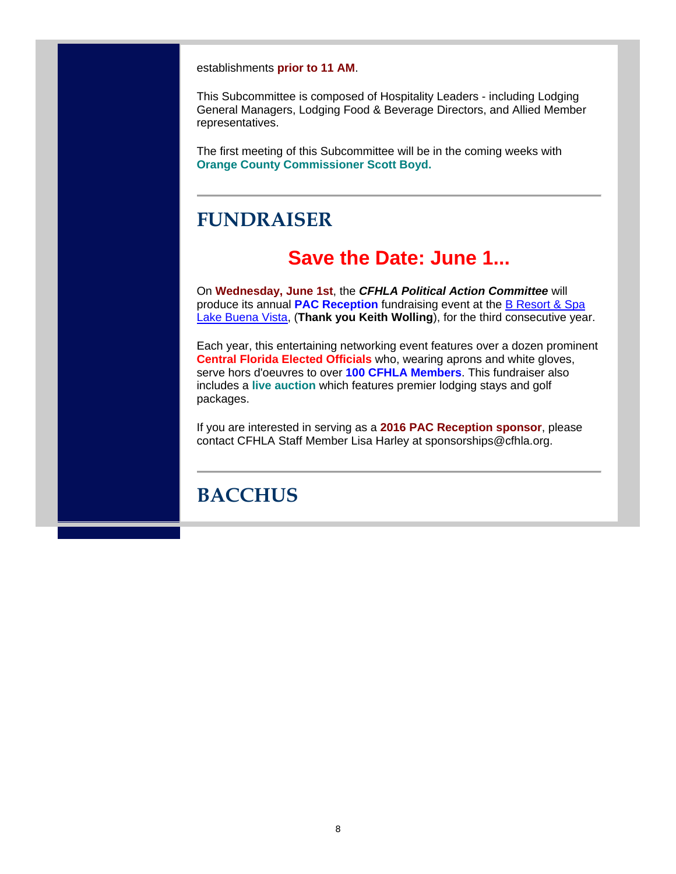establishments **prior to 11 AM**.

This Subcommittee is composed of Hospitality Leaders - including Lodging General Managers, Lodging Food & Beverage Directors, and Allied Member representatives.

The first meeting of this Subcommittee will be in the coming weeks with **Orange County Commissioner Scott Boyd.**

#### **FUNDRAISER**

#### **Save the Date: June 1...**

On **Wednesday, June 1st**, the *CFHLA Political Action Committee* will produce its annual **PAC Reception** fundraising event at the B Resort & Spa Lake Buena Vista, (**Thank you Keith Wolling**), for the third consecutive year.

Each year, this entertaining networking event features over a dozen prominent **Central Florida Elected Officials** who, wearing aprons and white gloves, serve hors d'oeuvres to over **100 CFHLA Members**. This fundraiser also includes a **live auction** which features premier lodging stays and golf packages.

If you are interested in serving as a **2016 PAC Reception sponsor**, please contact CFHLA Staff Member Lisa Harley at sponsorships@cfhla.org.

# **BACCHUS**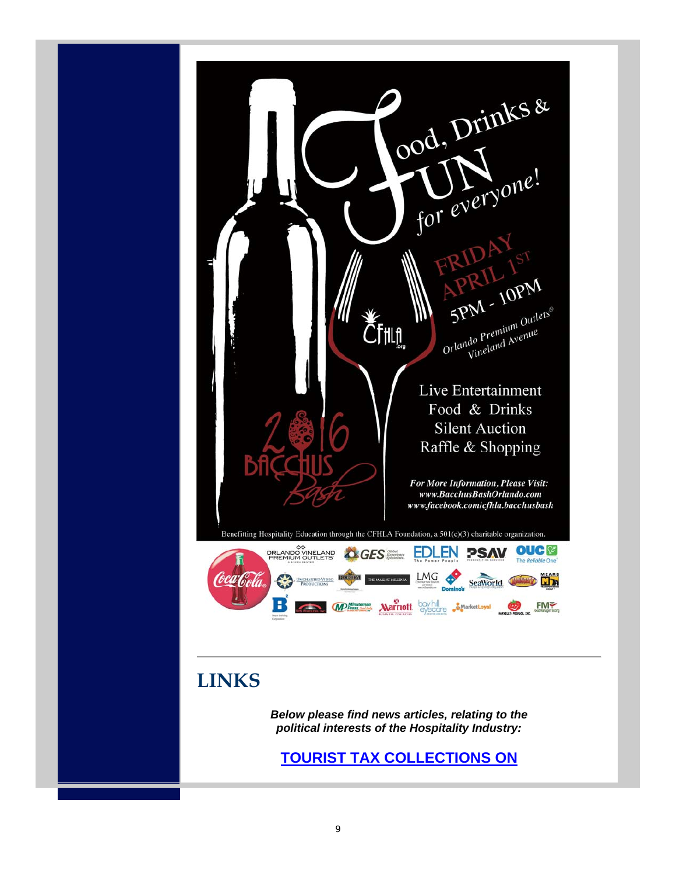

#### **LINKS**

*Below please find news articles, relating to the political interests of the Hospitality Industry:*

**TOURIST TAX COLLECTIONS ON**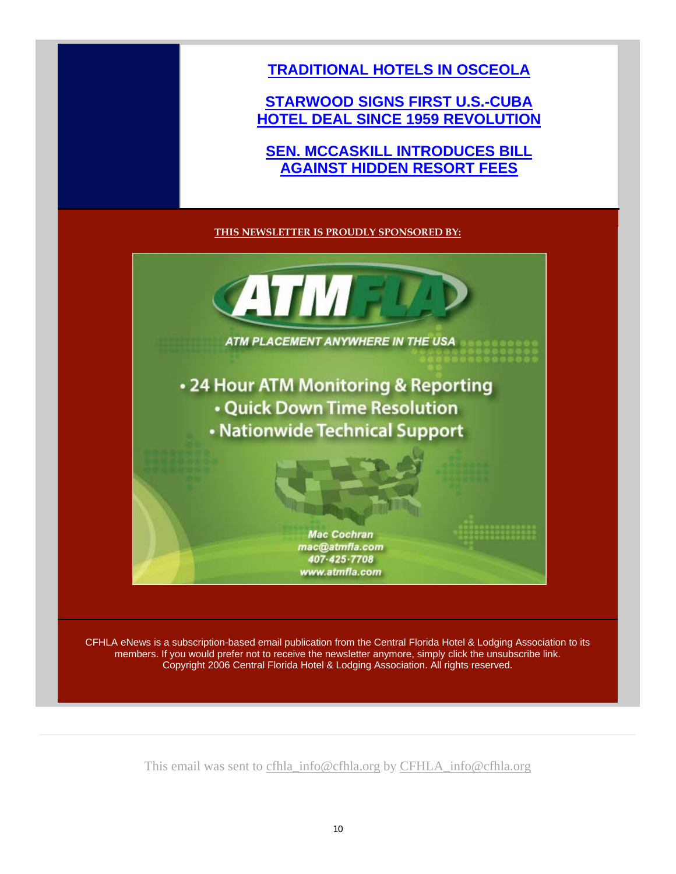**TRADITIONAL HOTELS IN OSCEOLA** 

#### **STARWOOD SIGNS FIRST U.S.-CUBA HOTEL DEAL SINCE 1959 REVOLUTION**

**SEN. MCCASKILL INTRODUCES BILL AGAINST HIDDEN RESORT FEES**

#### **THIS NEWSLETTER IS PROUDLY SPONSORED BY:**



CFHLA eNews is a subscription-based email publication from the Central Florida Hotel & Lodging Association to its members. If you would prefer not to receive the newsletter anymore, simply click the unsubscribe link. Copyright 2006 Central Florida Hotel & Lodging Association. All rights reserved.

This email was sent to cfhla\_info@cfhla.org by CFHLA\_info@cfhla.org